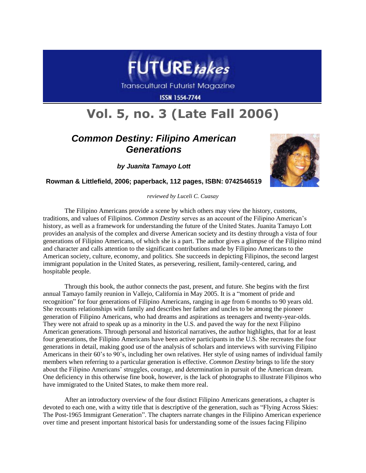

**Transcultural Futurist Magazine** 

**ISSN 1554-7744** 

## **Vol. 5, no. 3 (Late Fall 2006)**

## *Common Destiny: Filipino American Generations*

*by Juanita Tamayo Lott*



**Rowman & Littlefield, 2006; paperback, 112 pages, ISBN: 0742546519**

*reviewed by Luceli C. Cuasay*

The Filipino Americans provide a scene by which others may view the history, customs, traditions, and values of Filipinos. *Common Destiny* serves as an account of the Filipino American"s history, as well as a framework for understanding the future of the United States. Juanita Tamayo Lott provides an analysis of the complex and diverse American society and its destiny through a vista of four generations of Filipino Americans, of which she is a part. The author gives a glimpse of the Filipino mind and character and calls attention to the significant contributions made by Filipino Americans to the American society, culture, economy, and politics. She succeeds in depicting Filipinos, the second largest immigrant population in the United States, as persevering, resilient, family-centered, caring, and hospitable people.

Through this book, the author connects the past, present, and future. She begins with the first annual Tamayo family reunion in Vallejo, California in May 2005. It is a "moment of pride and recognition" for four generations of Filipino Americans, ranging in age from 6 months to 90 years old. She recounts relationships with family and describes her father and uncles to be among the pioneer generation of Filipino Americans, who had dreams and aspirations as teenagers and twenty-year-olds. They were not afraid to speak up as a minority in the U.S. and paved the way for the next Filipino American generations. Through personal and historical narratives, the author highlights, that for at least four generations, the Filipino Americans have been active participants in the U.S. She recreates the four generations in detail, making good use of the analysis of scholars and interviews with surviving Filipino Americans in their 60"s to 90"s, including her own relatives. Her style of using names of individual family members when referring to a particular generation is effective. *Common Destiny* brings to life the story about the Filipino Americans" struggles, courage, and determination in pursuit of the American dream. One deficiency in this otherwise fine book, however, is the lack of photographs to illustrate Filipinos who have immigrated to the United States, to make them more real.

After an introductory overview of the four distinct Filipino Americans generations, a chapter is devoted to each one, with a witty title that is descriptive of the generation, such as "Flying Across Skies: The Post-1965 Immigrant Generation". The chapters narrate changes in the Filipino American experience over time and present important historical basis for understanding some of the issues facing Filipino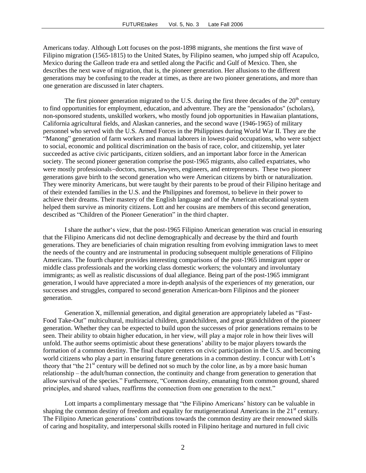Americans today. Although Lott focuses on the post-1898 migrants, she mentions the first wave of Filipino migration (1565-1815) to the United States, by Filipino seamen, who jumped ship off Acapulco, Mexico during the Galleon trade era and settled along the Pacific and Gulf of Mexico. Then, she describes the next wave of migration, that is, the pioneer generation. Her allusions to the different generations may be confusing to the reader at times, as there are two pioneer generations, and more than one generation are discussed in later chapters.

The first pioneer generation migrated to the U.S. during the first three decades of the  $20<sup>th</sup>$  century to find opportunities for employment, education, and adventure. They are the "pensionados" (scholars), non-sponsored students, unskilled workers, who mostly found job opportunities in Hawaiian plantations, California agricultural fields, and Alaskan canneries, and the second wave (1946-1965) of military personnel who served with the U.S. Armed Forces in the Philippines during World War II. They are the "Manong" generation of farm workers and manual laborers in lowest-paid occupations, who were subject to social, economic and political discrimination on the basis of race, color, and citizenship, yet later succeeded as active civic participants, citizen soldiers, and an important labor force in the American society. The second pioneer generation comprise the post-1965 migrants, also called expatriates, who were mostly professionals-doctors, nurses, lawyers, engineers, and entrepreneurs. These two pioneer generations gave birth to the second generation who were American citizens by birth or naturalization. They were minority Americans, but were taught by their parents to be proud of their Filipino heritage and of their extended families in the U.S. and the Philippines and foremost, to believe in their power to achieve their dreams. Their mastery of the English language and of the American educational system helped them survive as minority citizens. Lott and her cousins are members of this second generation, described as "Children of the Pioneer Generation" in the third chapter.

I share the author"s view, that the post-1965 Filipino American generation was crucial in ensuring that the Filipino Americans did not decline demographically and decrease by the third and fourth generations. They are beneficiaries of chain migration resulting from evolving immigration laws to meet the needs of the country and are instrumental in producing subsequent multiple generations of Filipino Americans. The fourth chapter provides interesting comparisons of the post-1965 immigrant upper or middle class professionals and the working class domestic workers; the voluntary and involuntary immigrants; as well as realistic discussions of dual allegiance. Being part of the post-1965 immigrant generation, I would have appreciated a more in-depth analysis of the experiences of my generation, our successes and struggles, compared to second generation American-born Filipinos and the pioneer generation.

Generation X, millennial generation, and digital generation are appropriately labeled as "Fast-Food Take-Out" multicultural, multiracial children, grandchildren, and great grandchildren of the pioneer generation. Whether they can be expected to build upon the successes of prior generations remains to be seen. Their ability to obtain higher education, in her view, will play a major role in how their lives will unfold. The author seems optimistic about these generations" ability to be major players towards the formation of a common destiny. The final chapter centers on civic participation in the U.S. and becoming world citizens who play a part in ensuring future generations in a common destiny. I concur with Lott"s theory that "the 21<sup>st</sup> century will be defined not so much by the color line, as by a more basic human relationship – the adult/human connection, the continuity and change from generation to generation that allow survival of the species." Furthermore, "Common destiny, emanating from common ground, shared principles, and shared values, reaffirms the connection from one generation to the next."

Lott imparts a complimentary message that "the Filipino Americans' history can be valuable in shaping the common destiny of freedom and equality for mutigenerational Americans in the 21<sup>st</sup> century. The Filipino American generations" contributions towards the common destiny are their renowned skills of caring and hospitality, and interpersonal skills rooted in Filipino heritage and nurtured in full civic